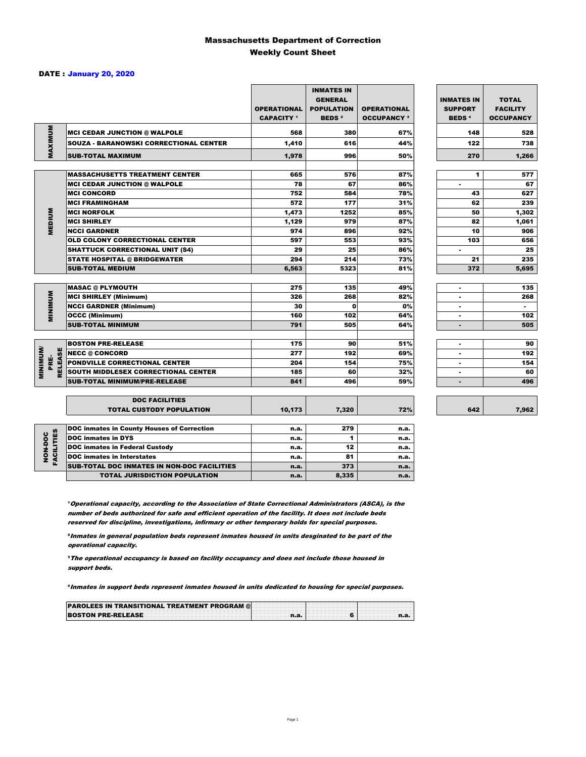### Massachusetts Department of Correction Weekly Count Sheet

### DATE : January 20, 2020

|                                   |                                                   | <b>OPERATIONAL</b><br><b>CAPACITY 1</b> | <b>INMATES IN</b><br><b>GENERAL</b><br><b>POPULATION</b><br><b>BEDS<sup>2</sup></b> | <b>OPERATIONAL</b><br><b>OCCUPANCY 3</b> | <b>INMATES IN</b><br><b>SUPPORT</b><br><b>BEDS<sup>4</sup></b> | <b>TOTAL</b><br><b>FACILITY</b><br><b>OCCUPANCY</b> |
|-----------------------------------|---------------------------------------------------|-----------------------------------------|-------------------------------------------------------------------------------------|------------------------------------------|----------------------------------------------------------------|-----------------------------------------------------|
| MAXIMUM                           | <b>MCI CEDAR JUNCTION @ WALPOLE</b>               | 568                                     | 380                                                                                 | 67%                                      | 148                                                            | 528                                                 |
|                                   | <b>SOUZA - BARANOWSKI CORRECTIONAL CENTER</b>     | 1,410                                   | 616                                                                                 | 44%                                      | 122                                                            | 738                                                 |
|                                   | <b>SUB-TOTAL MAXIMUM</b>                          | 1,978                                   | 996                                                                                 | 50%                                      | 270                                                            | 1,266                                               |
|                                   |                                                   |                                         |                                                                                     |                                          |                                                                |                                                     |
|                                   | <b>MASSACHUSETTS TREATMENT CENTER</b>             | 665                                     | 576                                                                                 | 87%                                      | 1                                                              | 577                                                 |
|                                   | <b>MCI CEDAR JUNCTION @ WALPOLE</b>               | 78                                      | 67                                                                                  | 86%                                      | ٠                                                              | 67                                                  |
|                                   | <b>MCI CONCORD</b>                                | 752                                     | 584                                                                                 | 78%                                      | 43                                                             | 627                                                 |
|                                   | <b>MCI FRAMINGHAM</b>                             | 572                                     | 177                                                                                 | 31%                                      | 62                                                             | 239                                                 |
|                                   | <b>MCI NORFOLK</b>                                | 1,473                                   | 1252                                                                                | 85%                                      | 50                                                             | 1,302                                               |
| <b>MEDIUM</b>                     | <b>MCI SHIRLEY</b>                                | 1,129                                   | 979                                                                                 | 87%                                      | 82                                                             | 1,061                                               |
|                                   | <b>NCCI GARDNER</b>                               | 974                                     | 896                                                                                 | 92%                                      | 10                                                             | 906                                                 |
|                                   | <b>OLD COLONY CORRECTIONAL CENTER</b>             | 597                                     | 553                                                                                 | 93%                                      | 103                                                            | 656                                                 |
|                                   | <b>SHATTUCK CORRECTIONAL UNIT (S4)</b>            | 29                                      | 25                                                                                  | 86%                                      | ٠                                                              | 25                                                  |
|                                   | <b>STATE HOSPITAL @ BRIDGEWATER</b>               | 294                                     | 214                                                                                 | 73%                                      | 21                                                             | 235                                                 |
|                                   | <b>SUB-TOTAL MEDIUM</b>                           | 6,563                                   | 5323                                                                                | 81%                                      | 372                                                            | 5,695                                               |
|                                   | <b>MASAC @ PLYMOUTH</b>                           | 275                                     | 135                                                                                 | 49%                                      |                                                                | 135                                                 |
| <b>MINIMUM</b>                    | <b>MCI SHIRLEY (Minimum)</b>                      | 326                                     | 268                                                                                 | 82%                                      |                                                                | 268                                                 |
|                                   | <b>NCCI GARDNER (Minimum)</b>                     | 30                                      | $\bf{0}$                                                                            | 0%                                       | ٠                                                              | $\sim$                                              |
|                                   | <b>OCCC (Minimum)</b>                             | 160                                     | 102                                                                                 | 64%                                      |                                                                | 102                                                 |
|                                   | <b>SUB-TOTAL MINIMUM</b>                          | 791                                     | 505                                                                                 | 64%                                      | $\blacksquare$                                                 | 505                                                 |
|                                   |                                                   |                                         |                                                                                     |                                          |                                                                |                                                     |
|                                   | <b>BOSTON PRE-RELEASE</b>                         | 175                                     | 90                                                                                  | 51%                                      | $\blacksquare$                                                 | 90                                                  |
| <b>MINIMINI</b><br><b>RELEASE</b> | <b>NECC @ CONCORD</b>                             | 277                                     | 192                                                                                 | 69%                                      |                                                                | 192                                                 |
| PRE-                              | <b>PONDVILLE CORRECTIONAL CENTER</b>              | 204                                     | 154                                                                                 | 75%                                      | ٠                                                              | 154                                                 |
|                                   | SOUTH MIDDLESEX CORRECTIONAL CENTER               | 185                                     | 60                                                                                  | 32%                                      | ٠                                                              | 60                                                  |
|                                   | <b>SUB-TOTAL MINIMUM/PRE-RELEASE</b>              | 841                                     | 496                                                                                 | 59%                                      | $\blacksquare$                                                 | 496                                                 |
|                                   | <b>DOC FACILITIES</b>                             |                                         |                                                                                     |                                          |                                                                |                                                     |
|                                   | <b>TOTAL CUSTODY POPULATION</b>                   | 10,173                                  | 7,320                                                                               | 72%                                      | 642                                                            | 7,962                                               |
|                                   | <b>DOC inmates in County Houses of Correction</b> | n.a.                                    | 279                                                                                 | n.a.                                     |                                                                |                                                     |
| FACILITIES                        | <b>DOC</b> inmates in DYS                         | n.a.                                    | 1                                                                                   | n.a.                                     |                                                                |                                                     |
| NON-DOC                           | <b>DOC inmates in Federal Custody</b>             | n.a.                                    | 12                                                                                  | n.a.                                     |                                                                |                                                     |
|                                   | <b>DOC</b> inmates in Interstates                 | n.a.                                    | 81                                                                                  | n.a.                                     |                                                                |                                                     |
|                                   | CUR TOTAL BOO INIMETED IN NON-BOO FACULTIED       |                                         | 272                                                                                 |                                          |                                                                |                                                     |

**Operational capacity, according to the Association of State Correctional Administrators (ASCA), is the** number of beds authorized for safe and efficient operation of the facility. It does not include beds reserved for discipline, investigations, infirmary or other temporary holds for special purposes.

SUB-TOTAL DOC INMATES IN NON-DOC FACILITIES n.a. 373 n.a.

TOTAL JURISDICTION POPULATION **n.a.** 8,335 n.a.

²Inmates in general population beds represent inmates housed in units desginated to be part of the operational capacity.

³The operational occupancy is based on facility occupancy and does not include those housed in support beds.

⁴Inmates in support beds represent inmates housed in units dedicated to housing for special purposes.

| <b>PAROLEES IN TRANSITIONAL TREATMENT PROGRAM @</b> |  |  |
|-----------------------------------------------------|--|--|
| <b>BOSTON PRE-RELEASE</b>                           |  |  |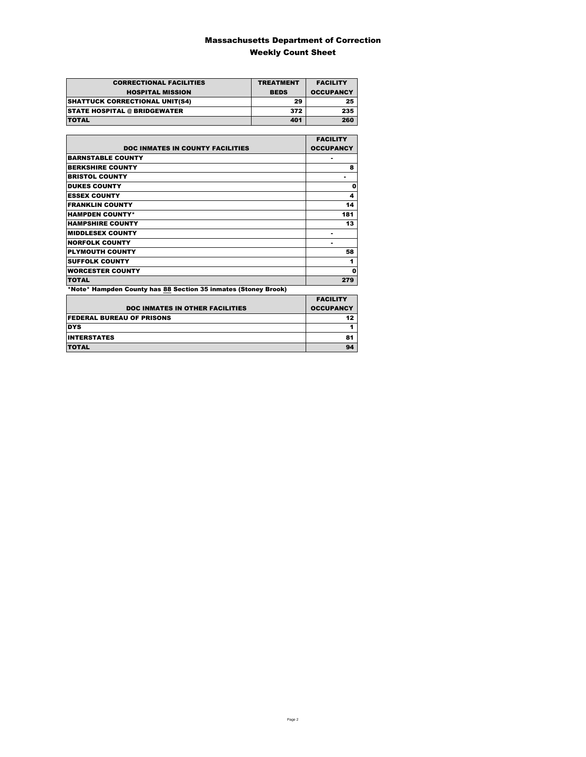### Massachusetts Department of Correction Weekly Count Sheet

| <b>CORRECTIONAL FACILITIES</b>        | <b>TREATMENT</b> | <b>FACILITY</b>  |
|---------------------------------------|------------------|------------------|
| <b>HOSPITAL MISSION</b>               | <b>BEDS</b>      | <b>OCCUPANCY</b> |
| <b>SHATTUCK CORRECTIONAL UNIT(S4)</b> | 29               | 25               |
| <b>STATE HOSPITAL @ BRIDGEWATER</b>   | 372              | 235              |
| <b>TOTAL</b>                          | 401              | 260              |

|                                                                | <b>FACILITY</b>  |
|----------------------------------------------------------------|------------------|
| <b>DOC INMATES IN COUNTY FACILITIES</b>                        | <b>OCCUPANCY</b> |
| <b>BARNSTABLE COUNTY</b>                                       |                  |
| <b>BERKSHIRE COUNTY</b>                                        | 8                |
| <b>BRISTOL COUNTY</b>                                          |                  |
| <b>DUKES COUNTY</b>                                            | 0                |
| <b>ESSEX COUNTY</b>                                            | 4                |
| <b>FRANKLIN COUNTY</b>                                         | 14               |
| <b>HAMPDEN COUNTY*</b>                                         | 181              |
| <b>HAMPSHIRE COUNTY</b>                                        | 13               |
| <b>MIDDLESEX COUNTY</b>                                        |                  |
| <b>NORFOLK COUNTY</b>                                          |                  |
| <b>PLYMOUTH COUNTY</b>                                         | 58               |
| <b>SUFFOLK COUNTY</b>                                          | 1                |
| <b>WORCESTER COUNTY</b>                                        | 0                |
| <b>TOTAL</b>                                                   | 279              |
| *Note* Hampden County has 88 Section 35 inmates (Stoney Brook) |                  |

|                                        | <b>FACILITY</b>  |
|----------------------------------------|------------------|
| <b>DOC INMATES IN OTHER FACILITIES</b> | <b>OCCUPANCY</b> |
| <b>FEDERAL BUREAU OF PRISONS</b>       | 12 <sub>2</sub>  |
| <b>DYS</b>                             |                  |
| <b>INTERSTATES</b>                     | 81               |
| <b>TOTAL</b>                           | 94               |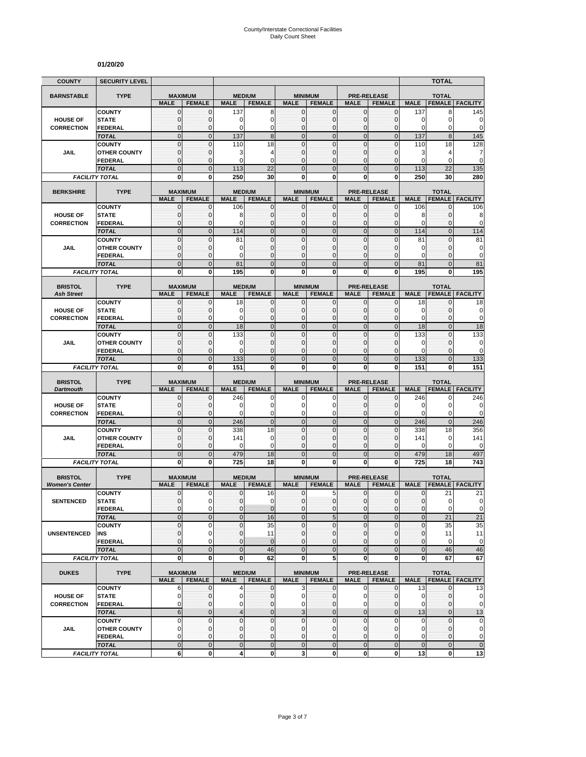#### **01/20/20**

| <b>COUNTY</b>                        | <b>SECURITY LEVEL</b>                 |                               |                                 |                              |                               |                               |                            |                              |                                     |                    | <b>TOTAL</b>                           |                                                                                     |
|--------------------------------------|---------------------------------------|-------------------------------|---------------------------------|------------------------------|-------------------------------|-------------------------------|----------------------------|------------------------------|-------------------------------------|--------------------|----------------------------------------|-------------------------------------------------------------------------------------|
| <b>BARNSTABLE</b>                    | <b>TYPE</b>                           |                               | <b>MAXIMUM</b>                  | <b>MEDIUM</b>                |                               | <b>MINIMUM</b>                |                            |                              | <b>PRE-RELEASE</b>                  |                    | <b>TOTAL</b>                           |                                                                                     |
|                                      |                                       | <b>MALE</b>                   | <b>FEMALE</b>                   | <b>MALE</b>                  | <b>FEMALE</b>                 | <b>MALE</b>                   | <b>FEMALE</b>              | <b>MALE</b>                  | <b>FEMALE</b>                       | <b>MALE</b>        | <b>FEMALE</b>                          | <b>FACILITY</b>                                                                     |
|                                      | <b>COUNTY</b>                         | $\mathbf{0}$                  | $\mathbf{0}$                    | 137                          | 8                             | $\mathbf 0$                   | $\mathbf{0}$               | $\mathbf{0}$                 | $\mathbf 0$                         | 137                | 8                                      | 145                                                                                 |
| <b>HOUSE OF</b><br><b>CORRECTION</b> | <b>STATE</b><br><b>FEDERAL</b>        | 0<br>$\mathbf 0$              | $\mathbf{0}$<br>$\Omega$        | 0<br>$\mathbf 0$             | 0<br>$\mathbf 0$              | $\mathbf 0$<br>$\mathbf{0}$   | 0<br>0                     | $\mathbf{0}$<br>$\mathbf{0}$ | $\mathbf 0$<br>$\Omega$             | 0<br>0             | 0<br>0                                 | 0<br>$\mathbf 0$                                                                    |
|                                      | <b>TOTAL</b>                          | $\mathbf 0$                   | $\mathbf{0}$                    | 137                          | 8                             | $\mathbf{0}$                  | $\mathbf 0$                | $\mathbf{0}$                 | $\overline{0}$                      | 137                | $\boldsymbol{8}$                       | 145                                                                                 |
|                                      | <b>COUNTY</b>                         | 0                             | $\mathbf{0}$                    | 110                          | 18                            | $\mathbf{0}$                  | 0                          | $\mathbf{0}$                 | 0                                   | 110                | 18                                     | 128                                                                                 |
| JAIL                                 | <b>OTHER COUNTY</b>                   | $\mathbf 0$                   | $\mathbf{0}$                    | 3                            | 4                             | $\Omega$                      | 0                          | $\mathbf{0}$                 | 0                                   | 3                  | 4                                      | 7                                                                                   |
|                                      | <b>FEDERAL</b><br><b>TOTAL</b>        | 0<br>$\overline{0}$           | $\mathbf{0}$<br>$\overline{0}$  | $\mathbf 0$                  | $\mathbf 0$                   | $\mathbf{0}$                  | 0                          | $\mathbf{0}$                 | 0                                   | 0                  | 0                                      | 0                                                                                   |
|                                      | <b>FACILITY TOTAL</b>                 | 0                             | $\bf{0}$                        | 113<br>250                   | 22<br>30                      | $\overline{0}$<br>0           | $\overline{0}$<br>0        | $\mathbf{0}$<br>0            | $\overline{0}$<br>0                 | 113<br>250         | 22<br>30                               | 135<br>280                                                                          |
|                                      |                                       |                               |                                 |                              |                               |                               |                            |                              |                                     |                    |                                        |                                                                                     |
| <b>BERKSHIRE</b>                     | <b>TYPE</b>                           | <b>MALE</b>                   | <b>MAXIMUM</b><br><b>FEMALE</b> | <b>MEDIUM</b><br><b>MALE</b> | <b>FEMALE</b>                 | <b>MINIMUM</b><br><b>MALE</b> | <b>FEMALE</b>              | <b>MALE</b>                  | <b>PRE-RELEASE</b><br><b>FEMALE</b> | <b>MALE</b>        | <b>TOTAL</b><br><b>FEMALE</b>          | <b>FACILITY</b>                                                                     |
|                                      | <b>COUNTY</b>                         | 0                             | 0                               | 106                          | 0                             | 0                             | 0                          | 0                            | 0                                   | 106                | 0                                      | 106                                                                                 |
| <b>HOUSE OF</b>                      | <b>STATE</b>                          | 0                             | $\mathbf{0}$                    | 8                            | $\pmb{0}$                     | $\mathbf 0$                   | 0                          | $\mathbf{0}$                 | 0                                   | 8                  | 0                                      | 8                                                                                   |
| <b>CORRECTION</b>                    | <b>FEDERAL</b>                        | $\mathbf 0$<br>$\overline{0}$ | $\mathbf{0}$<br>$\mathbf{0}$    | $\Omega$<br>114              | $\mathbf 0$<br>$\overline{0}$ | 0<br>$\Omega$                 | 0<br>$\overline{0}$        | $\mathbf{0}$<br>$\mathbf{0}$ | $\mathbf 0$<br>$\overline{0}$       | $\Omega$<br>114    | $\Omega$<br>$\mathbf{0}$               | 0<br>114                                                                            |
|                                      | <b>TOTAL</b><br><b>COUNTY</b>         | $\mathbf{0}$                  | $\mathbf{0}$                    | 81                           | $\mathbf 0$                   | $\mathbf{0}$                  | $\mathbf 0$                | $\mathbf{0}$                 | $\mathbf 0$                         | 81                 | $\mathbf 0$                            | 81                                                                                  |
| <b>JAIL</b>                          | <b>OTHER COUNTY</b>                   | 0                             | $\mathbf{0}$                    | 0                            | $\mathbf{0}$                  | $\mathbf{0}$                  | 0                          | $\mathbf{0}$                 | $\Omega$                            | 0                  | $\mathbf 0$                            | 0                                                                                   |
|                                      | <b>FEDERAL</b>                        | $\mathbf 0$                   | $\mathbf{0}$                    | 0                            | $\mathbf{0}$                  | $\mathbf{0}$                  | 0                          | $\mathbf{0}$                 | $\Omega$                            | $\Omega$           | $\Omega$                               | $\mathbf 0$                                                                         |
|                                      | <b>TOTAL</b>                          | $\mathbf 0$                   | $\mathbf{0}$                    | 81                           | $\mathbf{0}$                  | $\mathbf{0}$                  | $\mathbf{0}$               | $\mathbf{0}$                 | $\overline{0}$                      | 81                 | $\mathbf{0}$                           | 81                                                                                  |
|                                      | <b>FACILITY TOTAL</b>                 | 0                             | $\bf{0}$                        | 195                          | $\mathbf{0}$                  | 0                             | 0                          | $\mathbf 0$                  | 0                                   | 195                | 0                                      | 195                                                                                 |
| <b>BRISTOL</b><br><b>Ash Street</b>  | <b>TYPE</b>                           | <b>MALE</b>                   | <b>MAXIMUM</b><br><b>FEMALE</b> | <b>MEDIUM</b><br><b>MALE</b> | <b>FEMALE</b>                 | <b>MINIMUM</b><br><b>MALE</b> | <b>FEMALE</b>              | <b>MALE</b>                  | PRE-RELEASE<br><b>FEMALE</b>        | <b>MALE</b>        | <b>TOTAL</b><br><b>FEMALE FACILITY</b> |                                                                                     |
|                                      | <b>COUNTY</b>                         | 0                             | $\mathbf 0$                     | 18                           | 0                             | 0                             | 0                          | 0                            |                                     | 18                 | 0                                      | 18                                                                                  |
| <b>HOUSE OF</b>                      | <b>STATE</b>                          | 0                             | $\mathbf{0}$                    | 0                            | $\pmb{0}$                     | $\Omega$                      | 0                          | $\mathbf{0}$                 | $\Omega$                            | $\Omega$           | $\Omega$                               | 0                                                                                   |
| <b>CORRECTION</b>                    | <b>FEDERAL</b>                        | $\mathbf 0$                   | $\mathbf{0}$                    | $\mathbf 0$                  | $\mathbf{0}$                  | $\Omega$                      | 0                          | $\mathbf{0}$                 | $\mathbf 0$                         | 0                  | $\mathbf{0}$                           | $\mathbf 0$                                                                         |
|                                      | <b>TOTAL</b><br><b>COUNTY</b>         | $\mathbf 0$<br>$\mathbf 0$    | $\mathbf 0$<br>$\mathbf{0}$     | 18<br>133                    | $\overline{0}$<br>$\mathbf 0$ | $\mathbf 0$<br>$\Omega$       | $\mathbf 0$<br>$\mathbf 0$ | $\mathbf 0$<br>$\mathbf{0}$  | $\mathbf 0$<br>$\mathbf 0$          | 18<br>133          | $\pmb{0}$<br>$\mathbf{0}$              | 18<br>133                                                                           |
| JAIL                                 | <b>OTHER COUNTY</b>                   | $\mathbf 0$                   | $\mathbf{0}$                    | $\mathbf 0$                  | $\mathbf{0}$                  | $\mathbf{0}$                  | 0                          | $\mathbf{0}$                 | 0                                   | 0                  | 0                                      | 0                                                                                   |
|                                      | <b>FEDERAL</b>                        | $\mathbf 0$                   | $\mathbf{0}$                    | 0                            | $\mathbf{0}$                  | $\Omega$                      | 0                          | $\mathbf{0}$                 | $\Omega$                            | 0                  | $\Omega$                               | $\mathbf 0$                                                                         |
|                                      | <b>TOTAL</b>                          | $\overline{0}$                | $\mathbf{0}$                    | 133                          | $\mathbf 0$                   | $\Omega$                      | $\overline{0}$             | $\mathbf{0}$                 | $\overline{0}$                      | 133                | $\Omega$                               | 133                                                                                 |
|                                      | <b>FACILITY TOTAL</b>                 | 0                             | 0                               | 151                          | 0                             | 0                             | 0                          | 0                            | 0                                   | 151                | 0                                      | 151                                                                                 |
| <b>BRISTOL</b>                       | <b>TYPE</b>                           |                               | <b>MAXIMUM</b>                  | <b>MEDIUM</b>                |                               | <b>MINIMUM</b>                |                            |                              | <b>PRE-RELEASE</b>                  |                    | <b>TOTAL</b>                           |                                                                                     |
| <b>Dartmouth</b>                     | <b>COUNTY</b>                         | <b>MALE</b><br>$\mathbf 0$    | <b>FEMALE</b><br>0              | <b>MALE</b><br>246           | <b>FEMALE</b><br>0            | <b>MALE</b><br>0              | <b>FEMALE</b><br>0         | <b>MALE</b><br>0             | <b>FEMALE</b>                       | <b>MALE</b><br>246 | <b>FEMALE</b>                          | <b>FACILITY</b><br>246                                                              |
| <b>HOUSE OF</b>                      | <b>STATE</b>                          | 0                             | $\mathbf{0}$                    | 0                            | 0                             | $\Omega$                      | 0                          | $\mathbf{0}$                 | 0<br>$\Omega$                       | 0                  | 0<br>$\mathbf 0$                       | 0                                                                                   |
| <b>CORRECTION</b>                    | <b>FEDERAL</b>                        | 0                             | $\mathbf{0}$                    | $\mathbf 0$                  | $\mathbf 0$                   | $\mathbf 0$                   | 0                          | $\mathbf{0}$                 | 0                                   | 0                  | 0                                      | $\mathbf 0$                                                                         |
|                                      | <b>TOTAL</b>                          | $\overline{0}$                | $\mathbf{0}$                    | 246                          | $\mathbf 0$                   | $\mathbf{0}$                  | $\mathbf 0$                | $\mathbf{0}$                 | $\mathbf 0$                         | 246                | $\mathbf{0}$                           | 246                                                                                 |
|                                      | <b>COUNTY</b>                         | 0                             | $\mathbf{0}$                    | 338                          | 18                            | $\mathbf{0}$                  | $\mathbf{0}$               | $\pmb{0}$                    | 0                                   | 338                | 18                                     | 356                                                                                 |
| <b>JAIL</b>                          | <b>OTHER COUNTY</b>                   | 0<br>0                        | $\mathbf{0}$<br>$\mathbf{0}$    | 141<br>$\mathbf 0$           | $\mathbf 0$<br>$\mathbf 0$    | $\Omega$<br>0                 | $\Omega$<br>0              | $\mathbf{0}$<br>$\mathbf{0}$ | $\mathbf 0$<br>$\mathbf 0$          | 141<br>0           | 0<br>0                                 | 141                                                                                 |
|                                      | <b>FEDERAL</b><br><b>TOTAL</b>        | $\mathbf 0$                   | $\mathbf{0}$                    | 479                          | 18                            | $\mathbf{0}$                  | $\overline{0}$             | $\mathbf{0}$                 | $\overline{0}$                      | 479                | 18                                     | 0<br>497                                                                            |
|                                      | <b>FACILITY TOTAL</b>                 | 0                             | 0                               | 725                          | 18                            | 0                             | 0                          | 0                            | 0                                   | 725                | 18                                     | 743                                                                                 |
| <b>BRISTOL</b>                       | <b>TYPE</b>                           |                               | <b>MAXIMUM</b>                  |                              | <b>MEDIUM</b>                 |                               | <b>MINIMUM</b>             |                              | <b>PRE-RELEASE</b>                  |                    | <b>TOTAL</b>                           |                                                                                     |
| <b>Women's Center</b>                |                                       | <b>MALE</b>                   | <b>FEMALE</b>                   | <b>MALE</b>                  | <b>FEMALE</b>                 | <b>MALE</b>                   | <b>FEMALE</b>              | <b>MALE</b>                  | <b>FEMALE</b>                       | <b>MALE</b>        | <b>FEMALE</b>                          | <b>FACILITY</b>                                                                     |
|                                      | <b>COUNTY</b>                         | 0                             | $\mathbf 0$                     | 0                            | 16                            | 0                             | 5                          | $\mathbf{0}$                 | 0                                   | 0                  | 21                                     | 21                                                                                  |
| <b>SENTENCED</b>                     | <b>STATE</b>                          | $\Omega$                      | $\Omega$                        | $\Omega$                     | $\mathbf 0$                   | $\Omega$                      | $\Omega$                   | $\Omega$                     | $\Omega$                            | $\Omega$           | $\Omega$                               | $\mathbf{0}$                                                                        |
|                                      | <b>FEDERAL</b>                        | $\mathbf{0}$<br>$\mathbf 0$   | $\pmb{0}$<br>$\mathbf 0$        | $\mathbf 0$<br>$\mathbf 0$   | $\mathbf{0}$<br>16            | $\bf 0$<br>$\mathbf 0$        | 0                          | $\mathbf 0$<br>$\mathbf{0}$  | 0<br>$\mathbf 0$                    | 0<br>$\pmb{0}$     | 0<br>21                                | $\mathbf 0$<br>21                                                                   |
|                                      | <b>TOTAL</b><br><b>COUNTY</b>         | $\mathbf{0}$                  | 0                               | 0                            | 35                            | $\mathbf{0}$                  | $\sqrt{5}$<br>$\pmb{0}$    | 0                            | $\mathbf 0$                         | $\pmb{0}$          | 35                                     | 35                                                                                  |
| <b>UNSENTENCED</b>                   | INS                                   | 0                             | 0                               | $\mathbf{0}$                 | 11                            | $\mathbf 0$                   | 0                          | 0                            | 0                                   | 0                  | 11                                     | 11                                                                                  |
|                                      | <b>FEDERAL</b>                        | 0                             | 0                               | 0                            | $\mathbf{0}$                  | $\mathbf{0}$                  | 0                          | 0                            | $\mathbf 0$                         | 0                  | $\mathbf 0$                            | $\mathbf 0$                                                                         |
|                                      |                                       |                               |                                 | $\pmb{0}$                    | 46                            | $\mathbf{0}$                  | $\mathbf 0$                | $\mathbf 0$                  | $\pmb{0}$                           | $\mathbf 0$        | 46                                     | 46                                                                                  |
|                                      | <b>TOTAL</b>                          | $\mathbf 0$                   | $\mathbf 0$                     |                              |                               |                               |                            |                              |                                     |                    |                                        |                                                                                     |
|                                      | <b>FACILITY TOTAL</b>                 | 0                             | $\bf{0}$                        | $\mathbf 0$                  | 62                            | $\bf{0}$                      | 5                          | $\mathbf{0}$                 | 0                                   | 0                  | 67                                     | 67                                                                                  |
| <b>DUKES</b>                         | <b>TYPE</b>                           |                               | <b>MAXIMUM</b>                  | <b>MEDIUM</b>                |                               |                               | <b>MINIMUM</b>             |                              | PRE-RELEASE                         |                    | <b>TOTAL</b>                           |                                                                                     |
|                                      |                                       | <b>MALE</b>                   | <b>FEMALE</b>                   | <b>MALE</b>                  | <b>FEMALE</b>                 | <b>MALE</b>                   | <b>FEMALE</b>              | <b>MALE</b>                  | <b>FEMALE</b>                       | <b>MALE</b>        | <b>FEMALE</b>                          | <b>FACILITY</b>                                                                     |
|                                      | <b>COUNTY</b>                         | 6                             | 0                               | 4                            | 0                             | 3                             | 0                          | $\mathbf 0$                  | 0                                   | 13                 | 0                                      |                                                                                     |
| <b>HOUSE OF</b>                      | <b>STATE</b>                          | 0                             | 0                               | 0                            | 0                             | 0                             | 0                          | 0                            | 0                                   | 0                  | 0                                      |                                                                                     |
| <b>CORRECTION</b>                    | <b>FEDERAL</b>                        | 0                             | $\mathbf{0}$                    | 0                            | $\mathbf 0$                   | $\Omega$                      | 0                          | 0                            | 0                                   | 0                  | $\mathbf{0}$                           |                                                                                     |
|                                      | <b>TOTAL</b><br><b>COUNTY</b>         | $6\phantom{1}6$<br>0          | $\mathbf{0}$<br>$\pmb{0}$       | $\overline{4}$<br>0          | $\overline{0}$<br>$\pmb{0}$   | 3<br>$\mathbf{0}$             | $\overline{0}$<br>0        | $\mathbf 0$<br>$\mathbf 0$   | $\mathbf{0}$<br>$\mathbf{0}$        | 13<br>0            | $\mathbf{0}$<br>$\pmb{0}$              |                                                                                     |
| JAIL                                 | <b>OTHER COUNTY</b>                   | 0                             | $\mathbf{0}$                    | $\mathbf{0}$                 | $\mathbf{0}$                  | $\mathbf 0$                   | 0                          | $\mathbf{0}$                 | 0                                   | $\Omega$           | $\mathbf{0}$                           |                                                                                     |
|                                      | <b>FEDERAL</b>                        | 0                             | $\mathbf{0}$                    | $\mathbf{0}$                 | $\pmb{0}$                     | $\mathbf{0}$                  | 0                          | $\mathbf 0$                  | 0                                   | 0                  | 0                                      | 13<br>$\mathbf 0$<br>$\mathbf 0$<br>13<br>$\mathbf 0$<br>$\mathbf 0$<br>$\mathbf 0$ |
|                                      | <b>TOTAL</b><br><b>FACILITY TOTAL</b> | $\mathbf 0$<br>6              | $\mathbf 0$<br>$\mathbf 0$      | $\mathbf 0$<br>4             | $\mathbf 0$<br>$\mathbf 0$    | $\mathbf 0$<br>3              | $\mathbf 0$<br>0           | $\mathbf 0$<br>$\mathbf{0}$  | $\pmb{0}$<br>0                      | $\mathbf 0$<br>13  | $\mathbf 0$<br>$\mathbf 0$             | $\mathbf 0$<br>13                                                                   |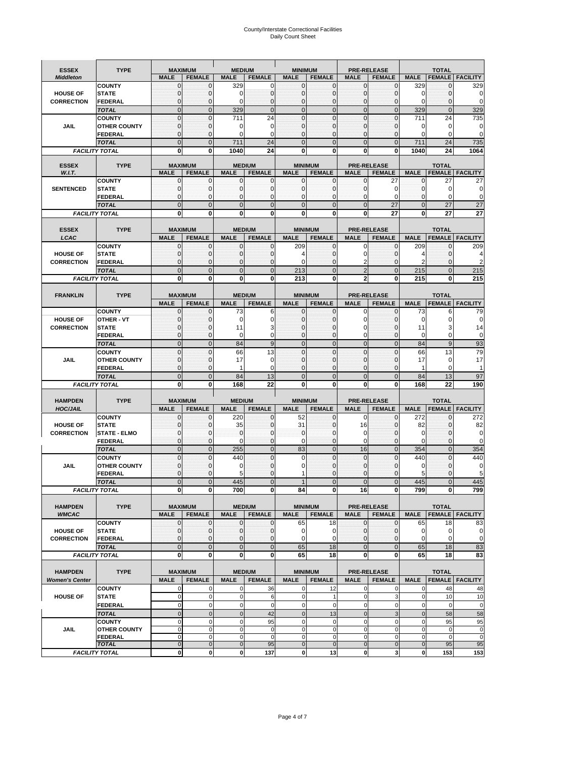# County/Interstate Correctional Facilities Daily Count Sheet

| <b>ESSEX</b>                         | <b>TYPE</b>                    | <b>MAXIMUM</b>                |                             | <b>MEDIUM</b>               |                                | <b>MINIMUM</b>              |                                 |                             | <b>PRE-RELEASE</b>                  |                    | <b>TOTAL</b>        |                                |
|--------------------------------------|--------------------------------|-------------------------------|-----------------------------|-----------------------------|--------------------------------|-----------------------------|---------------------------------|-----------------------------|-------------------------------------|--------------------|---------------------|--------------------------------|
| <b>Middleton</b>                     |                                | <b>MALE</b>                   | <b>FEMALE</b>               | <b>MALE</b>                 | <b>FEMALE</b>                  | <b>MALE</b>                 | <b>FEMALE</b>                   | <b>MALE</b>                 | <b>FEMALE</b>                       | <b>MALE</b>        |                     | <b>FEMALE   FACILITY</b>       |
|                                      | <b>COUNTY</b>                  | 0                             | 0                           | 329                         | 0                              | $\mathbf{0}$                | 0                               | 0                           | 0                                   | 329                | 0                   | 329                            |
| <b>HOUSE OF</b>                      | <b>STATE</b>                   | 0                             | $\Omega$                    | 0                           | 0                              | 0                           | 0                               | 0                           | $\mathbf 0$                         | 0                  | 0                   | 0                              |
| <b>CORRECTION</b>                    | <b>FEDERAL</b><br><b>TOTAL</b> | $\mathbf 0$<br>$\overline{0}$ | $\Omega$<br>$\mathbf{0}$    | $\Omega$<br>329             | $\mathbf 0$<br>$\mathbf{0}$    | $\mathbf 0$<br>$\mathbf{0}$ | $\mathbf 0$<br>$\overline{0}$   | $\Omega$<br>$\mathbf{0}$    | $\Omega$<br>$\mathbf{0}$            | $\mathbf 0$<br>329 | 0<br>$\overline{0}$ | $\mathbf 0$<br>329             |
|                                      | <b>COUNTY</b>                  | 0                             | $\mathbf{0}$                | 711                         | 24                             | $\mathbf{0}$                | 0                               | $\mathbf{0}$                | $\mathbf 0$                         | 711                | 24                  | 735                            |
| JAIL                                 | <b>OTHER COUNTY</b>            | $\mathbf 0$                   | $\Omega$                    | 0                           | $\mathbf 0$                    | $\Omega$                    | $\mathbf 0$                     | 0                           | 0                                   | 0                  | $\mathbf 0$         | 0                              |
|                                      | <b>FEDERAL</b>                 | $\mathbf 0$                   | $\Omega$                    | 0                           | 0                              | 0                           | $\mathbf 0$                     | $\Omega$                    | 0                                   | $\Omega$           | 0                   | $\mathbf 0$                    |
|                                      | <b>TOTAL</b>                   | $\overline{0}$                | $\Omega$                    | 711                         | 24                             | $\Omega$                    | $\overline{0}$                  | $\Omega$                    | $\overline{0}$                      | 711                | 24                  | 735                            |
|                                      | <b>FACILITY TOTAL</b>          | 0                             | 0                           | 1040                        | 24                             | 0                           | 0                               | 0                           | 0                                   | 1040               | 24                  | 1064                           |
| <b>ESSEX</b>                         | <b>TYPE</b>                    | <b>MAXIMUM</b>                |                             |                             | <b>MEDIUM</b>                  |                             | <b>MINIMUM</b>                  |                             | <b>PRE-RELEASE</b>                  |                    | <b>TOTAL</b>        |                                |
| W.I.T.                               |                                | <b>MALE</b>                   | <b>FEMALE</b>               | <b>MALE</b>                 | <b>FEMALE</b>                  | <b>MALE</b>                 | <b>FEMALE</b>                   | <b>MALE</b>                 | <b>FEMALE</b>                       | <b>MALE</b>        | <b>FEMALE</b>       | <b>FACILITY</b>                |
|                                      | <b>COUNTY</b>                  | 0                             | $\Omega$                    | 0                           | 0                              | 0                           | 0                               | $\Omega$                    | 27                                  | $\mathbf 0$        | 27                  | 27                             |
| <b>SENTENCED</b>                     | <b>STATE</b><br><b>FEDERAL</b> | $\mathbf 0$<br>0              | $\Omega$<br>$\Omega$        | $\mathbf 0$<br>$\Omega$     | $\mathbf{0}$<br>$\mathbf 0$    | $\mathbf{0}$<br>$\Omega$    | 0<br>0                          | $\Omega$<br>$\Omega$        | 0<br>$\Omega$                       | 0<br>$\Omega$      | 0<br>0              | 0<br>$\mathbf 0$               |
|                                      | <b>TOTAL</b>                   | $\Omega$                      | $\Omega$                    | $\Omega$                    | $\mathbf 0$                    | $\Omega$                    | $\overline{0}$                  | $\Omega$                    | 27                                  | $\overline{0}$     | 27                  | 27                             |
|                                      | <b>FACILITY TOTAL</b>          | $\mathbf 0$                   | $\mathbf{0}$                | $\bf{0}$                    | $\bf{0}$                       | $\bf{0}$                    | 0                               | $\bf{0}$                    | 27                                  | $\mathbf 0$        | 27                  | 27                             |
|                                      |                                |                               |                             |                             |                                |                             |                                 |                             |                                     |                    |                     |                                |
| <b>ESSEX</b>                         | <b>TYPE</b>                    | <b>MAXIMUM</b>                |                             |                             | <b>MEDIUM</b>                  |                             | <b>MINIMUM</b>                  |                             | <b>PRE-RELEASE</b>                  |                    | <b>TOTAL</b>        |                                |
| LCAC                                 | <b>COUNTY</b>                  | <b>MALE</b><br>0              | <b>FEMALE</b><br>$\Omega$   | <b>MALE</b><br>$\mathbf{0}$ | <b>FEMALE</b><br>$\mathbf{0}$  | <b>MALE</b><br>209          | <b>FEMALE</b><br>$\mathbf 0$    | <b>MALE</b><br>$\Omega$     | <b>FEMALE</b><br>$\mathbf 0$        | <b>MALE</b><br>209 | <b>FEMALE</b><br>0  | <b>FACILITY</b><br>209         |
| <b>HOUSE OF</b>                      | <b>STATE</b>                   | 0                             | $\Omega$                    | $\mathbf 0$                 | $\mathbf 0$                    | 4                           | 0                               | U                           | $\mathbf 0$                         | 4                  | 0                   | 4                              |
| <b>CORRECTION</b>                    | <b>FEDERAL</b>                 | $\mathbf 0$                   | $\Omega$                    | $\mathbf 0$                 | $\mathbf 0$                    | 0                           | $\mathbf 0$                     |                             | $\mathbf 0$                         | $\overline{2}$     | 0                   | $\overline{2}$                 |
|                                      | <b>TOTAL</b>                   | $\overline{0}$                | $\Omega$                    | $\mathbf 0$                 | $\mathbf{0}$                   | 213                         | $\overline{0}$                  | $\overline{2}$              | $\mathbf 0$                         | 215                | $\overline{0}$      | 215                            |
|                                      | <b>FACILITY TOTAL</b>          | 0                             | 0                           | 0                           | 0                              | 213                         | 0                               | $\overline{2}$              | 0                                   | 215                | 0                   | 215                            |
|                                      | <b>TYPE</b>                    |                               |                             |                             |                                |                             |                                 |                             |                                     |                    | <b>TOTAL</b>        |                                |
| <b>FRANKLIN</b>                      |                                | <b>MAXIMUM</b><br><b>MALE</b> | <b>FEMALE</b>               | <b>MALE</b>                 | <b>MEDIUM</b><br><b>FEMALE</b> | <b>MALE</b>                 | <b>MINIMUM</b><br><b>FEMALE</b> | <b>MALE</b>                 | <b>PRE-RELEASE</b><br><b>FEMALE</b> | <b>MALE</b>        | <b>FEMALE</b>       | <b>FACILITY</b>                |
|                                      | <b>COUNTY</b>                  | 0                             | $\mathbf 0$                 | 73                          | 6                              | $\mathbf 0$                 | 0                               | $\Omega$                    | 0                                   | 73                 | 6                   | 79                             |
| <b>HOUSE OF</b>                      | OTHER - VT                     | $\mathbf 0$                   | $\Omega$                    | $\mathbf 0$                 | $\mathbf 0$                    | 0                           | $\mathbf 0$                     | 0                           | 0                                   | 0                  | 0                   | $\mathbf 0$                    |
| <b>CORRECTION</b>                    | <b>STATE</b>                   | 0                             | 0                           | 11                          | 3                              | $\Omega$                    | $\mathbf 0$                     | U                           | 0                                   | 11                 | 3                   | 14                             |
|                                      | <b>FEDERAL</b>                 | $\mathbf 0$<br>$\overline{0}$ | $\Omega$<br>$\mathbf{0}$    | $\Omega$<br>84              | $\mathbf 0$<br>$9\,$           | $\Omega$<br>$\mathbf{0}$    | $\mathbf 0$<br>$\overline{0}$   | $\Omega$<br>$\mathbf{0}$    | $\mathbf 0$<br>$\overline{0}$       | 0<br>84            | 0<br>9              | $\mathbf 0$<br>93              |
|                                      | <b>TOTAL</b><br><b>COUNTY</b>  | 0                             | $\mathbf{0}$                | 66                          | 13                             | $\mathbf{0}$                | 0                               | $\Omega$                    | $\mathbf 0$                         | 66                 | 13                  | 79                             |
| <b>JAIL</b>                          | <b>OTHER COUNTY</b>            | $\mathbf 0$                   | $\Omega$                    | 17                          | $\mathbf 0$                    | $\Omega$                    | $\Omega$                        | U                           | $\Omega$                            | 17                 | 0                   | 17                             |
|                                      | <b>FEDERAL</b>                 | $\mathbf 0$                   | $\mathbf 0$                 | 1                           | $\mathbf 0$                    | 0                           | $\mathbf 0$                     | 0                           | $\mathbf 0$                         | 1                  | 0                   | $\mathbf{1}$                   |
|                                      | <b>TOTAL</b>                   | $\overline{0}$                | $\mathbf{0}$                | 84                          | 13                             | $\mathbf{0}$                | $\mathbf 0$                     | $\mathbf{0}$                | $\overline{0}$                      | 84                 | 13                  | 97                             |
|                                      | <b>FACILITY TOTAL</b>          | 0                             | $\bf{0}$                    | 168                         | 22                             | 0                           | 0                               | 0                           | 0                                   | 168                | 22                  | 190                            |
| <b>HAMPDEN</b>                       | <b>TYPE</b>                    | <b>MAXIMUM</b>                |                             | <b>MEDIUM</b>               |                                | <b>MINIMUM</b>              |                                 |                             | <b>PRE-RELEASE</b>                  |                    | <b>TOTAL</b>        |                                |
| <b>HOC/JAIL</b>                      |                                | <b>MALE</b>                   | <b>FEMALE</b>               | <b>MALE</b>                 | <b>FEMALE</b>                  | <b>MALE</b>                 | <b>FEMALE</b>                   | <b>MALE</b>                 | <b>FEMALE</b>                       | <b>MALE</b>        | <b>FEMALE</b>       | <b>FACILITY</b>                |
|                                      | <b>COUNTY</b>                  | 0                             |                             | 220                         | 0                              | 52                          | 0                               | 0                           | 0                                   | 272                | 0                   | 272                            |
| <b>HOUSE OF</b>                      | <b>STATE</b>                   | $\mathbf 0$                   | U                           | 35                          | $\mathbf{0}$                   | 31                          | 0                               | 16                          | 0                                   | 82                 | 0                   | 82                             |
| <b>CORRECTION</b>                    | <b>STATE - ELMO</b><br>FEDERAL | 0<br>$\mathbf 0$              | $\Omega$<br>$\mathbf 0$     | $\mathbf 0$<br>$\Omega$     | $\mathbf{0}$<br>0              | $\mathbf{0}$<br>$\mathbf 0$ | $\mathbf 0$<br>$\mathbf 0$      | $\Omega$<br>$\Omega$        | $\mathbf 0$<br>0                    | 0<br>$\Omega$      | 0<br>0              | $\mathbf 0$<br>$\mathbf 0$     |
|                                      | <b>TOTAL</b>                   | $\overline{0}$                | $\mathbf{0}$                | 255                         | $\mathbf 0$                    | 83                          | $\overline{0}$                  | 16                          | $\overline{0}$                      | 354                | $\overline{0}$      | 354                            |
|                                      | <b>COUNTY</b>                  | $\mathbf 0$                   | $\Omega$                    | 440                         | $\Omega$                       | 0                           | $\mathbf 0$                     | $\Omega$                    | $\Omega$                            | 440                | $\Omega$            | 440                            |
| JAIL                                 | <b>OTHER COUNTY</b>            | $\mathbf 0$                   | U                           | 0                           | $\mathbf 0$                    | 0                           | $\mathbf 0$                     | C                           | 0                                   | 0                  | 0                   | $\mathbf 0$                    |
|                                      | <b>FEDERAL</b>                 | 0                             |                             | 5                           | $\Omega$                       |                             | 0                               | U                           | 0                                   | 5                  | ი                   | 5                              |
|                                      | <b>TOTAL</b>                   | $\overline{0}$                | $\Omega$                    | 445                         | $\Omega$                       | $\mathbf{1}$                | $\overline{0}$                  | $\Omega$                    | $\Omega$                            | 445                | $\Omega$            | 445                            |
|                                      | <b>FACILITY TOTAL</b>          | 0                             | 0                           | 700                         | 0                              | 84                          | 0                               | 16                          | $\mathbf{0}$                        | 799                | 0                   | 799                            |
| <b>HAMPDEN</b>                       | <b>TYPE</b>                    | <b>MAXIMUM</b>                |                             |                             | <b>MEDIUM</b>                  |                             | <b>MINIMUM</b>                  |                             | PRE-RELEASE                         |                    | <b>TOTAL</b>        |                                |
| <b>WMCAC</b>                         |                                | <b>MALE</b>                   | <b>FEMALE</b>               | <b>MALE</b>                 | <b>FEMALE</b>                  | <b>MALE</b>                 | <b>FEMALE</b>                   | <b>MALE</b>                 | <b>FEMALE</b>                       | <b>MALE</b>        | <b>FEMALE</b>       | <b>FACILITY</b>                |
|                                      | <b>COUNTY</b>                  | 0                             | $\mathbf 0$                 | 0                           | 0                              | 65                          | 18                              | 0                           | 0                                   | 65                 | 18                  | 83                             |
| <b>HOUSE OF</b><br><b>CORRECTION</b> | <b>STATE</b><br><b>FEDERAL</b> | 0<br>$\mathbf 0$              | $\mathbf 0$<br>$\mathbf 0$  | $\mathbf 0$<br>$\mathbf{0}$ | $\mathbf 0$<br>$\mathbf 0$     | 0<br>$\mathbf 0$            | 0<br>0                          | $\mathbf{0}$<br>$\mathbf 0$ | $\mathbf 0$<br>$\mathbf{0}$         | 0<br>$\mathbf 0$   | 0<br>0              | $\mathbf 0$<br>$\mathbf 0$     |
|                                      | <b>TOTAL</b>                   | $\mathbf 0$                   | $\mathbf 0$                 | $\mathbf 0$                 | $\mathbf 0$                    | 65                          | 18                              | $\mathbf{0}$                | $\pmb{0}$                           | 65                 | 18                  | 83                             |
|                                      | <b>FACILITY TOTAL</b>          | 0                             | $\mathbf 0$                 | $\mathbf{0}$                | $\mathbf 0$                    | 65                          | 18                              | $\mathbf{0}$                | $\bf{0}$                            | 65                 | 18                  | 83                             |
|                                      |                                |                               |                             |                             |                                |                             |                                 |                             |                                     |                    |                     |                                |
| <b>HAMPDEN</b>                       | <b>TYPE</b>                    |                               | <b>MAXIMUM</b>              |                             | <b>MEDIUM</b>                  |                             | <b>MINIMUM</b>                  |                             | <b>PRE-RELEASE</b>                  |                    | <b>TOTAL</b>        |                                |
| <b>Women's Center</b>                | <b>COUNTY</b>                  | <b>MALE</b><br>0              | <b>FEMALE</b><br>0          | <b>MALE</b><br>0            | <b>FEMALE</b><br>36            | <b>MALE</b><br>0            | <b>FEMALE</b><br>12             | <b>MALE</b><br>0            | <b>FEMALE</b><br>0                  | <b>MALE</b><br>0   | 48                  | <b>FEMALE   FACILITY</b><br>48 |
| <b>HOUSE OF</b>                      | <b>STATE</b>                   | $\mathbf 0$                   | $\mathbf 0$                 | $\mathbf 0$                 | $\,6$                          | $\pmb{0}$                   | $\mathbf{1}$                    | $\mathbf 0$                 | 3                                   | $\mathbf 0$        | 10                  | 10                             |
|                                      | FEDERAL                        | $\mathbf 0$                   | $\mathbf 0$                 | 0                           | $\mathbf 0$                    | $\pmb{0}$                   | $\mathbf 0$                     | $\mathbf 0$                 | 0                                   | $\mathbf 0$        | $\mathbf 0$         | $\mathbf 0$                    |
|                                      | <b>TOTAL</b>                   | $\overline{0}$                | $\mathbf{0}$                | $\mathbf 0$                 | 42                             | $\mathbf 0$                 | 13                              | $\mathbf{0}$                | 3                                   | $\overline{0}$     | 58                  | 58                             |
|                                      | <b>COUNTY</b>                  | 0                             | $\mathbf 0$                 | $\mathsf{O}\xspace$         | 95                             | $\overline{0}$              | $\mathbf 0$                     | $\mathbf 0$                 | $\pmb{0}$                           | $\mathbf 0$        | 95                  | 95                             |
| JAIL                                 | <b>OTHER COUNTY</b><br>FEDERAL | 0<br>0                        | $\mathbf{0}$<br>$\mathbf 0$ | 0<br>$\mathbf 0$            | $\mathbf 0$<br>$\mathbf 0$     | $\pmb{0}$<br>$\mathbf 0$    | $\mathbf 0$<br>0                | 0<br>0                      | 0<br>0                              | 0<br>$\mathbf 0$   | 0<br>$\mathbf 0$    | $\mathbf 0$<br>$\mathbf 0$     |
|                                      | <b>TOTAL</b>                   | $\mathbf 0$                   | $\mathbf 0$                 | $\pmb{0}$                   | 95                             | $\pmb{0}$                   | $\mathbf{0}$                    | $\mathbf 0$                 | $\pmb{0}$                           | $\mathbf 0$        | 95                  | 95                             |
|                                      | <b>FACILITY TOTAL</b>          | 0                             | 0                           | $\mathbf{0}$                | 137                            | $\mathbf{0}$                | 13                              | $\mathbf 0$                 | 3                                   | $\bf{0}$           | 153                 | 153                            |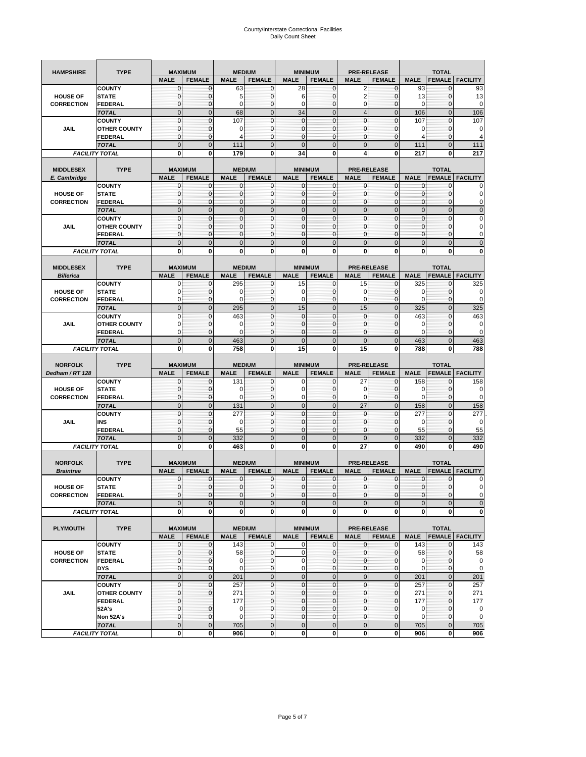| <b>HAMPSHIRE</b>  | <b>TYPE</b>                           | <b>MALE</b>                  | <b>MAXIMUM</b><br><b>FEMALE</b> | <b>MALE</b>              | <b>MEDIUM</b><br><b>FEMALE</b> | <b>MINIMUM</b><br><b>MALE</b> | <b>FEMALE</b>                  | <b>MALE</b>                 | <b>PRE-RELEASE</b><br><b>FEMALE</b> | <b>MALE</b>                 | <b>TOTAL</b><br><b>FEMALE</b> | <b>FACILITY</b>   |
|-------------------|---------------------------------------|------------------------------|---------------------------------|--------------------------|--------------------------------|-------------------------------|--------------------------------|-----------------------------|-------------------------------------|-----------------------------|-------------------------------|-------------------|
|                   | <b>COUNTY</b>                         | $\mathbf{0}$                 | $\mathbf 0$                     | 63                       | 0                              | 28                            | $\Omega$                       | 2                           | 0                                   | 93                          | 0                             | 93                |
| <b>HOUSE OF</b>   | <b>STATE</b>                          | 0                            | $\mathbf{0}$                    | 5                        | $\mathbf 0$                    | 6                             | $\mathbf{0}$                   | 2                           | $\mathbf 0$                         | 13                          | $\mathbf 0$                   | 13                |
| <b>CORRECTION</b> | FEDERAL                               | $\mathbf{0}$                 | $\mathbf 0$                     | 0                        | $\mathbf 0$                    | $\mathbf 0$                   | $\mathbf{0}$                   | $\mathbf 0$                 | $\mathbf 0$                         | $\mathbf 0$                 | $\mathbf 0$                   | 0                 |
|                   | <b>TOTAL</b>                          | $\mathbf 0$                  | $\mathbf 0$                     | 68                       | $\mathbf 0$                    | 34                            | $\overline{0}$                 | $\overline{4}$              | $\mathbf 0$                         | 106                         | $\mathbf 0$                   | 106               |
|                   | <b>COUNTY</b>                         | $\mathbf{0}$<br>$\mathbf{0}$ | $\mathbf 0$<br>$\mathbf 0$      | 107<br>0                 | $\mathbf 0$<br>0               | $\mathbf 0$<br>$\mathbf{0}$   | $\Omega$<br>$\mathbf 0$        | $\mathbf{0}$<br>$\mathbf 0$ | $\mathbf 0$<br>$\mathbf 0$          | 107<br>0                    | $\mathbf{0}$<br>$\mathbf 0$   | 107<br>0          |
| JAIL              | <b>OTHER COUNTY</b><br>FEDERAL        | 0                            | 0                               | Δ                        | 0                              | $\mathbf 0$                   | 0                              | 0                           | 0                                   | 4                           | 0                             | 4                 |
|                   | <b>TOTAL</b>                          | $\mathbf{0}$                 | $\overline{0}$                  | 111                      | $\overline{0}$                 | $\overline{0}$                | $\Omega$                       | $\overline{0}$              | $\overline{0}$                      | 111                         | $\mathbf 0$                   | 111               |
|                   | <b>FACILITY TOTAL</b>                 | 0                            | 0                               | 179                      | 0                              | 34                            | $\mathbf{0}$                   | 4                           | 0                                   | 217                         | 0                             | 217               |
|                   |                                       |                              |                                 |                          |                                |                               |                                |                             |                                     |                             |                               |                   |
| <b>MIDDLESEX</b>  | <b>TYPE</b>                           |                              | <b>MAXIMUM</b>                  |                          | <b>MEDIUM</b>                  | <b>MINIMUM</b>                |                                |                             | <b>PRE-RELEASE</b>                  |                             | <b>TOTAL</b>                  |                   |
| E. Cambridge      |                                       | <b>MALE</b>                  | <b>FEMALE</b>                   | <b>MALE</b>              | <b>FEMALE</b>                  | <b>MALE</b>                   | <b>FEMALE</b>                  | <b>MALE</b>                 | <b>FEMALE</b>                       | <b>MALE</b>                 | <b>FEMALE</b>                 | <b>FACILITY</b>   |
| <b>HOUSE OF</b>   | <b>COUNTY</b><br><b>STATE</b>         | 0<br>$\mathbf{0}$            | 0<br>0                          | 0<br>$\mathbf 0$         | 0<br>$\mathbf 0$               | 0<br>$\mathbf{0}$             | 0<br>$\mathbf{0}$              | 0<br>0                      | 0<br>$\mathbf 0$                    | 0<br>$\mathbf{0}$           | 0<br>$\mathbf 0$              | 0                 |
| <b>CORRECTION</b> | FEDERAL                               | $\mathbf{0}$                 | 0                               | 0                        | $\mathbf 0$                    | $\mathbf{0}$                  | 0                              | $\mathbf{0}$                | $\mathbf 0$                         | $\mathbf{0}$                | $\mathbf 0$                   | 0                 |
|                   | <b>TOTAL</b>                          | $\mathbf{0}$                 | $\overline{0}$                  | $\mathbf{0}$             | $\mathbf 0$                    | $\mathbf{0}$                  | $\overline{0}$                 | $\mathbf{0}$                | $\overline{0}$                      | $\mathbf 0$                 | $\mathbf{0}$                  | $\overline{0}$    |
|                   | <b>COUNTY</b>                         | $\mathbf{0}$                 | $\mathbf 0$                     | $\mathbf 0$              | 0                              | $\mathbf 0$                   | $\overline{0}$                 | $\mathbf{0}$                | $\mathbf 0$                         | $\mathbf{0}$                | $\mathbf 0$                   | 0                 |
| JAIL              | <b>OTHER COUNTY</b>                   | $\mathbf{0}$                 | $\mathbf 0$                     | 0                        | $\mathbf 0$                    | $\mathbf 0$                   | 0                              | 0                           | $\mathbf 0$                         | $\mathbf{0}$                | $\mathbf{0}$                  | 0                 |
|                   | FEDERAL                               | $\mathbf{0}$                 | $\mathbf 0$                     | $\mathbf 0$              | 0                              | $\mathbf 0$                   | 0                              | 0                           | 0                                   | $\pmb{0}$                   | 0                             | 0                 |
|                   | <b>TOTAL</b>                          | $\mathbf{0}$                 | $\mathbf 0$                     | $\overline{0}$           | $\mathbf 0$                    | $\mathbf 0$                   | $\mathbf 0$                    | $\mathbf{0}$                | $\mathbf 0$                         | $\mathbf 0$                 | $\mathbf 0$                   | $\overline{0}$    |
|                   | <b>FACILITY TOTAL</b>                 | 0                            | 0                               | 0                        | 0                              | 0                             | 0                              | 0                           | 0                                   | 0                           | 0                             | 0                 |
| <b>MIDDLESEX</b>  | <b>TYPE</b>                           |                              | <b>MAXIMUM</b>                  |                          | <b>MEDIUM</b>                  | <b>MINIMUM</b>                |                                |                             | <b>PRE-RELEASE</b>                  |                             | <b>TOTAL</b>                  |                   |
| <b>Billerica</b>  |                                       | <b>MALE</b>                  | <b>FEMALE</b>                   | <b>MALE</b>              | <b>FEMALE</b>                  | <b>MALE</b>                   | <b>FEMALE</b>                  | <b>MALE</b>                 | <b>FEMALE</b>                       | <b>MALE</b>                 | <b>FEMALE</b>                 | <b>FACILITY</b>   |
|                   | <b>COUNTY</b>                         | 0                            | $\mathbf 0$                     | 295                      | 0                              | 15                            | $\mathbf 0$                    | 15                          | 0                                   | 325                         | 0                             | 325               |
| <b>HOUSE OF</b>   | <b>STATE</b>                          | 0                            | 0                               | $\mathbf 0$              | 0                              | 0                             | 0                              | 0                           | $\mathbf 0$                         | 0                           | $\mathbf{0}$                  | 0                 |
| <b>CORRECTION</b> | FEDERAL                               | 0                            | $\mathbf{0}$                    | $\Omega$                 | $\mathbf 0$                    | $\mathbf 0$                   | $\mathbf{0}$                   | 0                           | $\mathbf 0$                         | $\mathbf 0$                 | $\mathbf{0}$                  | 0                 |
|                   | <b>TOTAL</b>                          | $\mathbf{0}$                 | $\mathbf 0$                     | 295                      | $\overline{0}$                 | 15                            | $\overline{0}$                 | 15                          | $\overline{0}$                      | 325                         | $\mathbf{0}$                  | 325               |
| JAIL              | <b>COUNTY</b><br><b>OTHER COUNTY</b>  | $\mathbf 0$<br>0             | $\mathbf 0$<br>$\mathbf 0$      | 463<br>$\Omega$          | $\mathbf 0$<br>0               | $\mathbf{0}$<br>$\mathbf{0}$  | $\overline{0}$<br>0            | $\mathbf{0}$<br>0           | $\mathbf 0$<br>$\mathbf 0$          | 463<br>0                    | $\mathbf{0}$<br>0             | 463<br>0          |
|                   | <b>FEDERAL</b>                        | $\mathbf 0$                  | $\mathbf 0$                     | $\Omega$                 | $\mathbf 0$                    | $\mathbf{0}$                  | $\mathbf 0$                    | $\mathbf 0$                 | $\mathbf 0$                         | $\mathbf 0$                 | $\mathbf 0$                   | 0                 |
|                   | <b>TOTAL</b>                          | $\mathbf 0$                  | $\mathbf{0}$                    | 463                      | $\mathbf 0$                    | $\mathbf 0$                   | $\mathbf{0}$                   | $\mathbf 0$                 | $\mathbf 0$                         | 463                         | $\mathbf 0$                   | 463               |
|                   | <b>FACILITY TOTAL</b>                 | 0                            | 0                               | 758                      | 0                              | 15                            | 0                              | 15                          | 0                                   | 788                         | 0                             | 788               |
|                   |                                       |                              |                                 |                          |                                |                               |                                |                             |                                     |                             |                               |                   |
|                   |                                       |                              |                                 |                          |                                |                               |                                |                             |                                     |                             |                               |                   |
| <b>NORFOLK</b>    | <b>TYPE</b>                           |                              | <b>MAXIMUM</b>                  |                          | <b>MEDIUM</b>                  | <b>MINIMUM</b>                |                                |                             | <b>PRE-RELEASE</b>                  |                             | <b>TOTAL</b>                  |                   |
| Dedham / RT 128   |                                       | <b>MALE</b>                  | <b>FEMALE</b>                   | <b>MALE</b>              | <b>FEMALE</b>                  | <b>MALE</b>                   | <b>FEMALE</b>                  | <b>MALE</b>                 | <b>FEMALE</b>                       | <b>MALE</b>                 | <b>FEMALE</b>                 | <b>FACILITY</b>   |
| <b>HOUSE OF</b>   | <b>COUNTY</b><br><b>STATE</b>         | 0<br>0                       | 0<br>0                          | 131<br>0                 | 0<br>0                         | 0<br>$\mathbf 0$              | 0<br>$\mathbf{0}$              | 27<br>0                     | 0<br>$\mathbf 0$                    | 158<br>0                    | 0<br>$\mathbf{0}$             | 158<br>0          |
| <b>CORRECTION</b> | <b>FEDERAL</b>                        | $\mathbf{0}$                 | $\mathbf 0$                     | $\Omega$                 | 0                              | 0                             | 0                              | $\mathbf 0$                 | 0                                   | $\mathbf 0$                 | $\mathbf 0$                   | 0                 |
|                   | <b>TOTAL</b>                          | $\mathbf{0}$                 | $\overline{0}$                  | 131                      | $\overline{0}$                 | $\mathbf{0}$                  | $\overline{0}$                 | 27                          | $\overline{0}$                      | 158                         | $\mathbf{0}$                  | 158               |
|                   | <b>COUNTY</b>                         | $\mathbf{0}$                 | $\mathbf 0$                     | 277                      | $\mathbf 0$                    | $\mathbf 0$                   | $\mathbf 0$                    | 0                           | $\mathbf 0$                         | 277                         | $\mathbf 0$                   | 277               |
| JAIL              | INS                                   | $\mathbf{0}$                 | 0                               | 0                        | 0                              | 0                             | 0                              | 0                           | $\mathbf 0$                         | 0                           | 0                             | 0                 |
|                   | FEDERAL                               | $\mathbf{0}$                 | $\mathbf 0$                     | 55                       | $\mathbf 0$                    | $\mathbf 0$                   | $\mathbf 0$                    | $\mathbf 0$                 | $\mathbf 0$                         | 55                          | $\mathbf{0}$                  | 55                |
|                   | <b>TOTAL</b>                          | $\mathbf{0}$                 | $\mathbf 0$                     | 332                      | $\mathbf{0}$                   | $\mathbf{0}$                  | $\mathbf 0$                    | $\mathbf{0}$                | $\overline{0}$                      | 332                         | $\mathbf{0}$                  | 332               |
|                   | <b>FACILITY TOTAL</b>                 | 0                            | 0                               | 463                      | 0                              | 0                             | 0                              | 27                          | 0                                   | 490                         | 0                             | 490               |
| <b>NORFOLK</b>    | <b>TYPE</b>                           |                              | <b>MAXIMUM</b>                  |                          | <b>MEDIUM</b>                  |                               | <b>MINIMUM</b>                 |                             | <b>PRE-RELEASE</b>                  |                             | <b>TOTAL</b>                  |                   |
| <b>Braintree</b>  |                                       | <b>MALE</b>                  | <b>FEMALE</b>                   | <b>MALE</b>              | <b>FEMALE</b>                  | <b>MALE</b>                   | <b>FEMALE</b>                  | <b>MALE</b>                 | <b>FEMALE</b>                       | <b>MALE</b>                 | <b>FEMALE</b>                 | <b>FACILITY</b>   |
|                   | <b>COUNTY</b>                         | 0                            | 0                               | 0                        | 0                              | 0                             | $\mathbf{0}$                   | 0                           | 0                                   | 0                           | 0                             |                   |
| <b>HOUSE OF</b>   | <b>STATE</b>                          | $\mathbf{0}$                 | $\mathbf{0}$                    | $\Omega$                 | $\mathbf{0}$                   | $\mathbf{0}$                  | $\Omega$                       | 0                           | $\mathbf{0}$                        | $\mathbf{0}$                | $\Omega$                      | 0                 |
| <b>CORRECTION</b> | <b>FEDERAL</b>                        | $\mathbf 0$                  | 0                               | $\mathbf 0$              | 0                              | $\bf{0}$                      | $\overline{0}$                 | $\mathbf 0$                 | 0                                   | $\mathbf{0}$                | $\mathbf 0$                   | 0                 |
|                   | <b>TOTAL</b><br><b>FACILITY TOTAL</b> | $\mathbf{0}$<br>$\mathbf 0$  | $\overline{0}$<br>0             | $\Omega$<br>$\mathbf{0}$ | $\mathbf{0}$<br>0              | $\mathbf{0}$<br>$\mathbf{0}$  | $\Omega$<br>$\mathbf{0}$       | $\mathbf{0}$<br>$\mathbf 0$ | $\mathbf{0}$<br>$\mathbf{0}$        | $\mathbf 0$<br>$\mathbf{0}$ | $\Omega$<br>$\mathbf 0$       | $\mathbf 0$<br>0  |
|                   |                                       |                              |                                 |                          |                                |                               |                                |                             |                                     |                             |                               |                   |
| <b>PLYMOUTH</b>   | <b>TYPE</b>                           |                              | <b>MAXIMUM</b>                  |                          | <b>MEDIUM</b>                  |                               | <b>MINIMUM</b>                 |                             | PRE-RELEASE                         |                             | <b>TOTAL</b>                  |                   |
|                   |                                       | <b>MALE</b>                  | <b>FEMALE</b>                   | <b>MALE</b>              | <b>FEMALE</b>                  | <b>MALE</b>                   | <b>FEMALE</b>                  | <b>MALE</b>                 | <b>FEMALE</b>                       | <b>MALE</b>                 |                               | FEMALE   FACILITY |
|                   | <b>COUNTY</b>                         | 0                            | 0                               | 143                      | 0                              | 0                             | $\mathbf{0}$                   | 0                           | $\mathbf 0$                         | 143                         | $\mathbf{0}$                  | 143               |
| <b>HOUSE OF</b>   | <b>STATE</b>                          | $\mathbf 0$                  | 0                               | 58                       | $\pmb{0}$                      | $\pmb{0}$                     | $\mathbf{0}$                   | $\pmb{0}$                   | 0                                   | 58                          | 0                             | 58                |
| <b>CORRECTION</b> | <b>FEDERAL</b>                        | $\mathbf{0}$                 | $\mathbf 0$                     | $\mathbf 0$              | $\mathbf{0}$                   | $\mathbf 0$                   | $\mathbf{0}$                   | $\mathbf 0$                 | $\mathbf{0}$                        | $\mathbf 0$                 | $\mathbf{0}$                  | $\mathbf 0$       |
|                   | <b>DYS</b><br><b>TOTAL</b>            | $\mathbf{0}$<br>$\mathbf 0$  | $\mathbf{0}$<br>$\overline{0}$  | 0<br>201                 | $\pmb{0}$<br>$\mathbf 0$       | $\mathbf 0$<br>$\overline{0}$ | $\mathbf{0}$<br>$\overline{0}$ | 0                           | 0<br>$\pmb{0}$                      | $\mathbf 0$<br>201          | 0<br>$\mathbf 0$              | 0                 |
|                   | <b>COUNTY</b>                         | $\mathbf{0}$                 | $\mathbf 0$                     | 257                      | $\mathbf{0}$                   | $\mathbf{0}$                  | $\overline{0}$                 | $\mathbf 0$<br>$\mathbf 0$  | 0                                   | 257                         | $\mathbf{O}$                  | 201<br>257        |
| <b>JAIL</b>       | <b>OTHER COUNTY</b>                   | $\pmb{0}$                    | 0                               | 271                      | $\mathbf 0$                    | $\mathbf 0$                   | $\overline{0}$                 | 0                           | 0                                   | 271                         | $\mathbf 0$                   | 271               |
|                   | <b>FEDERAL</b>                        | $\mathbf{0}$                 |                                 | 177                      | 0                              | $\mathbf 0$                   | $\overline{0}$                 | 0                           | 0                                   | 177                         | $\mathbf 0$                   | 177               |
|                   | 52A's                                 | $\mathbf{0}$                 | 0                               | 0                        | $\mathbf{0}$                   | $\mathbf 0$                   | $\overline{0}$                 | 0                           | $\mathbf{0}$                        | $\mathbf 0$                 | $\mathbf 0$                   | 0                 |
|                   | Non 52A's<br><b>TOTAL</b>             | $\mathbf{0}$<br>$\mathbf 0$  | $\mathbf 0$<br>$\mathbf 0$      | 0<br>705                 | 0<br>$\mathbf 0$               | $\mathbf{0}$<br>$\mathbf 0$   | $\mathbf{0}$<br>$\overline{O}$ | 0<br>$\mathbf 0$            | $\mathbf{0}$<br>$\pmb{0}$           | $\mathbf 0$<br>705          | $\mathbf 0$<br>$\mathbf 0$    | 0<br>705          |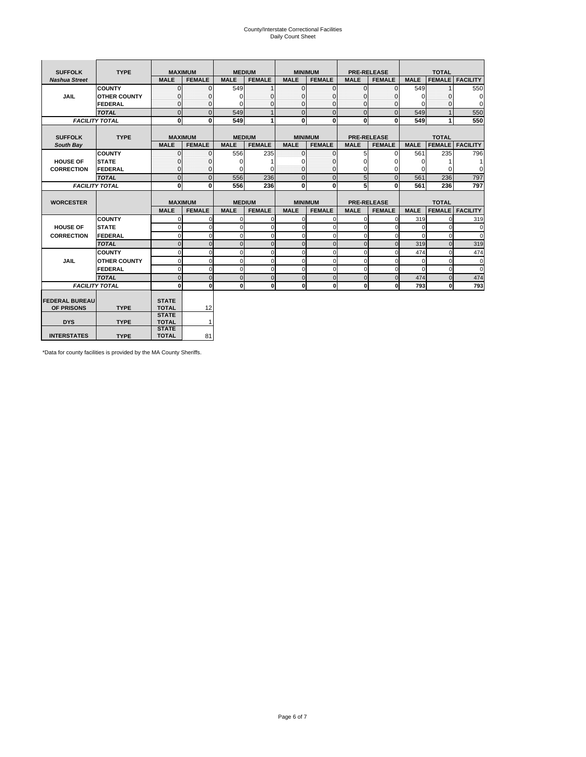# County/Interstate Correctional Facilities Daily Count Sheet

| <b>SUFFOLK</b>        | <b>TYPE</b>           | <b>MAXIMUM</b>               |               |               | <b>MEDIUM</b> | <b>MINIMUM</b> |                |              | <b>PRE-RELEASE</b> |             | <b>TOTAL</b>  |                 |
|-----------------------|-----------------------|------------------------------|---------------|---------------|---------------|----------------|----------------|--------------|--------------------|-------------|---------------|-----------------|
| <b>Nashua Street</b>  |                       | <b>MALE</b>                  | <b>FEMALE</b> | <b>MALE</b>   | <b>FEMALE</b> | <b>MALE</b>    | <b>FEMALE</b>  | <b>MALE</b>  | <b>FEMALE</b>      | <b>MALE</b> | <b>FEMALE</b> | <b>FACILITY</b> |
|                       | <b>COUNTY</b>         | $\Omega$                     | $\Omega$      | 549           |               | $\mathbf{O}$   | $\Omega$       | $\Omega$     | $\Omega$           | 549         |               | 550             |
| <b>JAIL</b>           | <b>OTHER COUNTY</b>   | O                            | 0             | $\Omega$      | 0             | $\mathbf{0}$   | $\Omega$       | $\Omega$     | $\Omega$           | 0           | O             | 0               |
|                       | FEDERAL               | $\Omega$                     | $\Omega$      | $\Omega$      | $\Omega$      | $\mathbf{0}$   | $\Omega$       | $\Omega$     | $\Omega$           | $\Omega$    | O             | $\Omega$        |
|                       | <b>TOTAL</b>          | $\Omega$                     | $\mathbf 0$   | 549           | 1             | $\mathbf{0}$   | $\overline{0}$ | $\mathbf{0}$ | $\Omega$           | 549         |               | 550             |
|                       | <b>FACILITY TOTAL</b> | 0                            | 0             | 549           |               | $\mathbf{0}$   | 0              | $\mathbf{0}$ | 0                  | 549         |               | 550             |
|                       |                       |                              |               |               |               |                |                |              |                    |             |               |                 |
| <b>SUFFOLK</b>        | <b>TYPE</b>           | <b>MAXIMUM</b>               |               | <b>MEDIUM</b> |               | <b>MINIMUM</b> |                |              | <b>PRE-RELEASE</b> |             | <b>TOTAL</b>  |                 |
| South Bay             |                       | <b>MALE</b>                  | <b>FEMALE</b> | <b>MALE</b>   | <b>FEMALE</b> | <b>MALE</b>    | <b>FEMALE</b>  | <b>MALE</b>  | <b>FEMALE</b>      | <b>MALE</b> | <b>FEMALE</b> | <b>FACILITY</b> |
|                       | <b>COUNTY</b>         | $\Omega$                     | $\mathbf{0}$  | 556           | 235           | $\overline{0}$ | $\Omega$       | 5            | $\Omega$           | 561         | 235           | 796             |
| <b>HOUSE OF</b>       | <b>STATE</b>          |                              | 0             | $\Omega$      |               | $\mathbf{0}$   | O              | $\Omega$     | $\Omega$           | 0           |               | 1               |
| <b>CORRECTION</b>     | <b>FEDERAL</b>        | $\Omega$                     | $\mathbf 0$   | 0             | $\Omega$      | $\overline{0}$ | $\Omega$       | $\Omega$     | 0                  | 0           | ŋ             | 0               |
|                       | <b>TOTAL</b>          | $\Omega$                     | $\Omega$      | 556           | 236           | $\mathbf{0}$   | $\mathbf{0}$   | 5            | $\Omega$           | 561         | 236           | 797             |
|                       | <b>FACILITY TOTAL</b> | $\Omega$                     | 0             | 556           | 236           | 0              | $\mathbf{0}$   | 5            | 0                  | 561         | 236           | 797             |
|                       |                       |                              |               |               |               |                |                |              |                    |             |               |                 |
| <b>WORCESTER</b>      |                       | <b>MAXIMUM</b>               |               |               | <b>MEDIUM</b> | <b>MINIMUM</b> |                |              | <b>PRE-RELEASE</b> |             | <b>TOTAL</b>  |                 |
|                       |                       | <b>MALE</b>                  | <b>FEMALE</b> | <b>MALE</b>   | <b>FEMALE</b> | <b>MALE</b>    | <b>FEMALE</b>  | <b>MALE</b>  | <b>FEMALE</b>      | <b>MALE</b> | <b>FEMALE</b> | <b>FACILITY</b> |
|                       | <b>COUNTY</b>         | $\Omega$                     | $\mathbf 0$   | $\Omega$      | 0             | $\mathbf 0$    | $\mathbf 0$    | $\mathbf 0$  | $\Omega$           | 319         | n             | 319             |
| <b>HOUSE OF</b>       | <b>STATE</b>          | $\Omega$                     | $\Omega$      | $\Omega$      | $\Omega$      | $\Omega$       | $\Omega$       | $\Omega$     |                    | $\Omega$    | $\Omega$      | $\Omega$        |
| <b>CORRECTION</b>     | <b>FEDERAL</b>        | $\cap$                       | $\Omega$      | C             | 0             | $\Omega$       | $\Omega$       | $\Omega$     |                    | $\Omega$    | $\Omega$      | $\Omega$        |
|                       | <b>TOTAL</b>          | U                            | $\mathbf 0$   | $\Omega$      | $\mathbf 0$   | $\mathbf{0}$   | $\mathbf 0$    | $\mathbf 0$  | $\Omega$           | 319         | $\Omega$      | 319             |
|                       | <b>COUNTY</b>         | $\Omega$                     | $\mathbf 0$   | $\Omega$      | $\mathbf 0$   | $\mathbf 0$    | $\Omega$       | $\mathbf 0$  | O                  | 474         | $\Omega$      | 474             |
| <b>JAIL</b>           | <b>OTHER COUNTY</b>   | $\Omega$                     | $\mathbf 0$   | $\Omega$      | 0             | $\mathbf 0$    | $\mathbf 0$    | $\mathbf 0$  | $\Omega$           | $\mathbf 0$ | $\Omega$      | $\mathbf 0$     |
|                       | FEDERAL               | $\Omega$                     | $\Omega$      | $\Omega$      | $\Omega$      | $\Omega$       | $\Omega$       | $\Omega$     | 0                  | $\Omega$    | $\Omega$      | $\Omega$        |
|                       | <b>TOTAL</b>          | U                            | $\Omega$      | $\Omega$      | $\mathbf 0$   | $\overline{0}$ | $\mathbf{0}$   | $\Omega$     | $\Omega$           | 474         | $\Omega$      | 474             |
|                       | <b>FACILITY TOTAL</b> | $\Omega$                     | $\mathbf 0$   | $\Omega$      | 0             | 0              | $\mathbf{0}$   | $\mathbf 0$  | οI                 | 793         | O             | 793             |
|                       |                       |                              |               |               |               |                |                |              |                    |             |               |                 |
| <b>FEDERAL BUREAU</b> |                       | <b>STATE</b>                 |               |               |               |                |                |              |                    |             |               |                 |
| OF PRISONS            | <b>TYPE</b>           | <b>TOTAL</b>                 | 12            |               |               |                |                |              |                    |             |               |                 |
| <b>DYS</b>            | <b>TYPE</b>           | <b>STATE</b><br><b>TOTAL</b> | $\mathbf{1}$  |               |               |                |                |              |                    |             |               |                 |
|                       |                       | <b>STATE</b>                 |               |               |               |                |                |              |                    |             |               |                 |
| <b>INTERSTATES</b>    | <b>TYPE</b>           | <b>TOTAL</b>                 | 81            |               |               |                |                |              |                    |             |               |                 |

\*Data for county facilities is provided by the MA County Sheriffs.